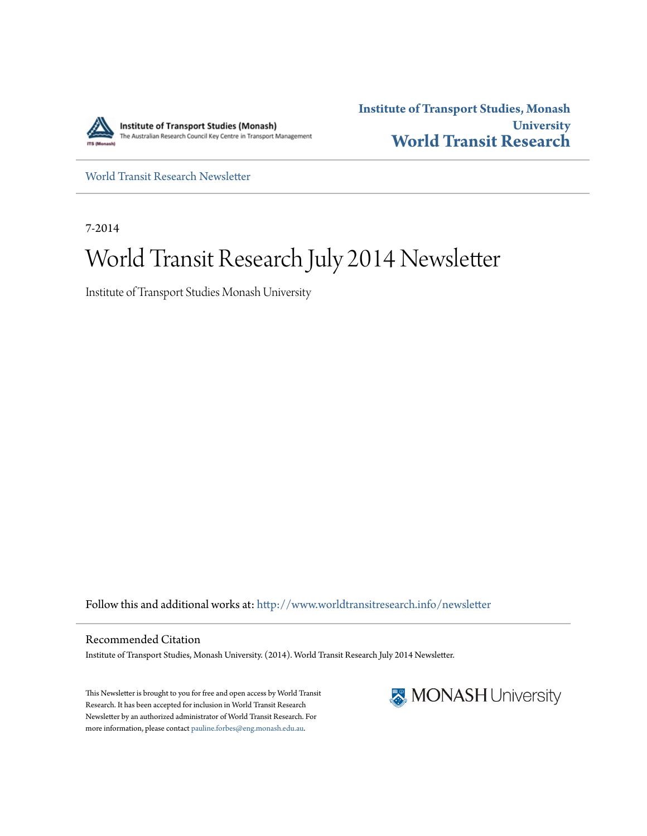

**Institute of Transport Studies, Monash University [World Transit Research](http://www.worldtransitresearch.info?utm_source=www.worldtransitresearch.info%2Fnewsletter%2F25&utm_medium=PDF&utm_campaign=PDFCoverPages)**

[World Transit Research Newsletter](http://www.worldtransitresearch.info/newsletter?utm_source=www.worldtransitresearch.info%2Fnewsletter%2F25&utm_medium=PDF&utm_campaign=PDFCoverPages)

7-2014

# World Transit Research July 2014 Newsletter

Institute of Transport Studies Monash University

Follow this and additional works at: [http://www.worldtransitresearch.info/newsletter](http://www.worldtransitresearch.info/newsletter?utm_source=www.worldtransitresearch.info%2Fnewsletter%2F25&utm_medium=PDF&utm_campaign=PDFCoverPages)

Recommended Citation Institute of Transport Studies, Monash University. (2014). World Transit Research July 2014 Newsletter.

This Newsletter is brought to you for free and open access by World Transit Research. It has been accepted for inclusion in World Transit Research Newsletter by an authorized administrator of World Transit Research. For more information, please contact [pauline.forbes@eng.monash.edu.au](mailto:pauline.forbes@eng.monash.edu.au).

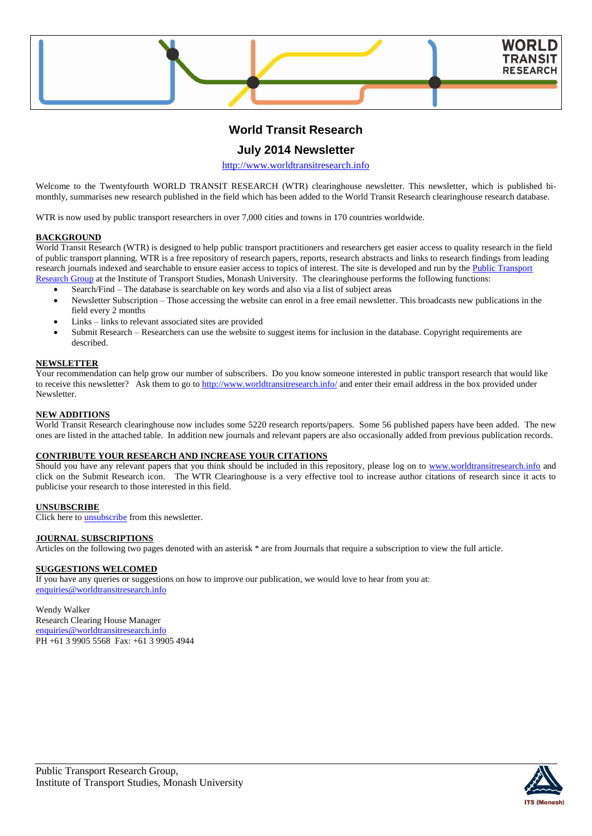

## **World Transit Research**

## **July 2014 Newsletter**

[http://www.worldtransitresearch.info](http://www.worldtransitresearch.info/)

Welcome to the Twentyfourth WORLD TRANSIT RESEARCH (WTR) clearinghouse newsletter. This newsletter, which is published bimonthly, summarises new research published in the field which has been added to the World Transit Research clearinghouse research database.

WTR is now used by public transport researchers in over 7,000 cities and towns in 170 countries worldwide.

#### **BACKGROUND**

World Transit Research (WTR) is designed to help public transport practitioners and researchers get easier access to quality research in the field of public transport planning. WTR is a free repository of research papers, reports, research abstracts and links to research findings from leading research journals indexed and searchable to ensure easier access to topics of interest. The site is developed and run by the Public Transport [Research Group](http://eng.monash.edu.au/civil/research/centres/its/research-activities/public-transport-planning.html) at the Institute of Transport Studies, Monash University. The clearinghouse performs the following functions:

- Search/Find The database is searchable on key words and also via a list of subject areas
- Newsletter Subscription Those accessing the website can enrol in a free email newsletter. This broadcasts new publications in the field every 2 months
- Links links to relevant associated sites are provided
- Submit Research Researchers can use the website to suggest items for inclusion in the database. Copyright requirements are described.

#### **NEWSLETTER**

Your recommendation can help grow our number of subscribers. Do you know someone interested in public transport research that would like to receive this newsletter? Ask them to go to<http://www.worldtransitresearch.info/> and enter their email address in the box provided under **Newsletter** 

#### **NEW ADDITIONS**

World Transit Research clearinghouse now includes some 5220 research reports/papers. Some 56 published papers have been added. The new ones are listed in the attached table. In addition new journals and relevant papers are also occasionally added from previous publication records.

#### **CONTRIBUTE YOUR RESEARCH AND INCREASE YOUR CITATIONS**

Should you have any relevant papers that you think should be included in this repository, please log on to [www.worldtransitresearch.info](http://www.worldtransitresearch.info/) and click on the Submit Research icon. The WTR Clearinghouse is a very effective tool to increase author citations of research since it acts to publicise your research to those interested in this field.

## **UNSUBSCRIBE**

Click here to **unsubscribe** from this newsletter.

#### **JOURNAL SUBSCRIPTIONS**

Articles on the following two pages denoted with an asterisk \* are from Journals that require a subscription to view the full article.

### **SUGGESTIONS WELCOMED**

If you have any queries or suggestions on how to improve our publication, we would love to hear from you at: [enquiries@worldtransitresearch.info](mailto:enquiries@worldtransitresearch.info)

#### Wendy Walker Research Clearing House Manager [enquiries@worldtransitresearch.info](mailto:enquiries@worldtransitresearch.info) PH +61 3 9905 5568 Fax: +61 3 9905 4944

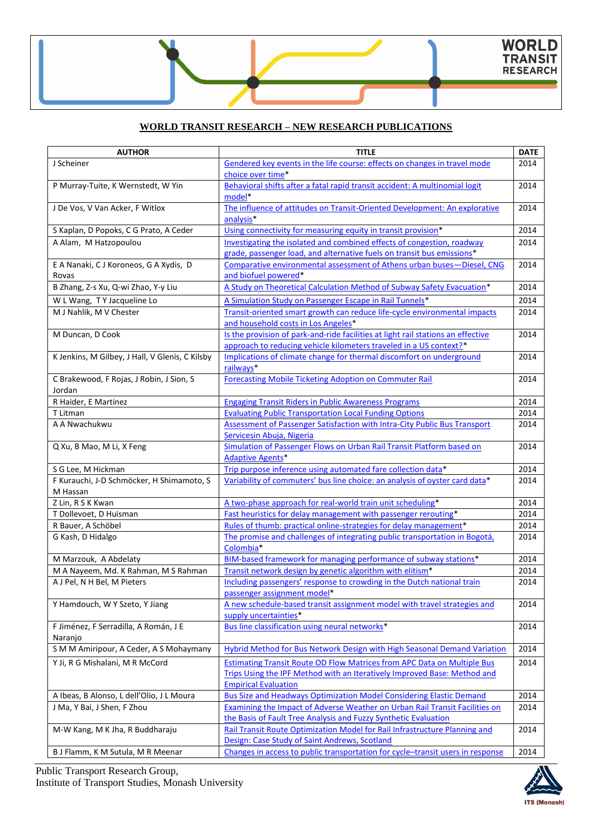## **WORLD TRANSIT RESEARCH – NEW RESEARCH PUBLICATIONS**

| <b>AUTHOR</b>                                   | <b>TITLE</b>                                                                                                                                           | <b>DATE</b> |
|-------------------------------------------------|--------------------------------------------------------------------------------------------------------------------------------------------------------|-------------|
| J Scheiner                                      | Gendered key events in the life course: effects on changes in travel mode                                                                              | 2014        |
|                                                 | choice over time*                                                                                                                                      |             |
| P Murray-Tuite, K Wernstedt, W Yin              | Behavioral shifts after a fatal rapid transit accident: A multinomial logit                                                                            | 2014        |
|                                                 | model*                                                                                                                                                 |             |
| J De Vos, V Van Acker, F Witlox                 | The influence of attitudes on Transit-Oriented Development: An explorative                                                                             | 2014        |
|                                                 | analysis <sup>*</sup>                                                                                                                                  |             |
| S Kaplan, D Popoks, C G Prato, A Ceder          | Using connectivity for measuring equity in transit provision*                                                                                          | 2014        |
| A Alam, M Hatzopoulou                           | Investigating the isolated and combined effects of congestion, roadway                                                                                 | 2014        |
|                                                 | grade, passenger load, and alternative fuels on transit bus emissions*                                                                                 |             |
| E A Nanaki, C J Koroneos, G A Xydis, D          | Comparative environmental assessment of Athens urban buses-Diesel, CNG                                                                                 | 2014        |
| Rovas<br>B Zhang, Z-s Xu, Q-wi Zhao, Y-y Liu    | and biofuel powered*<br>A Study on Theoretical Calculation Method of Subway Safety Evacuation*                                                         | 2014        |
|                                                 |                                                                                                                                                        |             |
| W L Wang, T Y Jacqueline Lo                     | A Simulation Study on Passenger Escape in Rail Tunnels*                                                                                                | 2014        |
| M J Nahlik, M V Chester                         | Transit-oriented smart growth can reduce life-cycle environmental impacts                                                                              | 2014        |
|                                                 | and household costs in Los Angeles*                                                                                                                    |             |
| M Duncan, D Cook                                | Is the provision of park-and-ride facilities at light rail stations an effective<br>approach to reducing vehicle kilometers traveled in a US context?* | 2014        |
| K Jenkins, M Gilbey, J Hall, V Glenis, C Kilsby | Implications of climate change for thermal discomfort on underground                                                                                   | 2014        |
|                                                 | railways*                                                                                                                                              |             |
| C Brakewood, F Rojas, J Robin, J Sion, S        | <b>Forecasting Mobile Ticketing Adoption on Commuter Rail</b>                                                                                          | 2014        |
| Jordan                                          |                                                                                                                                                        |             |
| R Haider, E Martinez                            | <b>Engaging Transit Riders in Public Awareness Programs</b>                                                                                            | 2014        |
| T Litman                                        | <b>Evaluating Public Transportation Local Funding Options</b>                                                                                          | 2014        |
| A A Nwachukwu                                   | Assessment of Passenger Satisfaction with Intra-City Public Bus Transport                                                                              | 2014        |
|                                                 | Servicesin Abuja, Nigeria                                                                                                                              |             |
| Q Xu, B Mao, M Li, X Feng                       | Simulation of Passenger Flows on Urban Rail Transit Platform based on                                                                                  | 2014        |
|                                                 | <b>Adaptive Agents*</b>                                                                                                                                |             |
| S G Lee, M Hickman                              | Trip purpose inference using automated fare collection data*                                                                                           | 2014        |
| F Kurauchi, J-D Schmöcker, H Shimamoto, S       | Variability of commuters' bus line choice: an analysis of oyster card data*                                                                            | 2014        |
| M Hassan                                        |                                                                                                                                                        |             |
| Z Lin, R S K Kwan                               | A two-phase approach for real-world train unit scheduling*                                                                                             | 2014        |
| T Dollevoet, D Huisman                          | Fast heuristics for delay management with passenger rerouting*                                                                                         | 2014        |
| R Bauer, A Schöbel                              | Rules of thumb: practical online-strategies for delay management*                                                                                      | 2014        |
| G Kash, D Hidalgo                               | The promise and challenges of integrating public transportation in Bogotá,<br>Colombia*                                                                | 2014        |
| M Marzouk, A Abdelaty                           | BIM-based framework for managing performance of subway stations*                                                                                       | 2014        |
| M A Nayeem, Md. K Rahman, M S Rahman            | Transit network design by genetic algorithm with elitism*                                                                                              | 2014        |
| A J Pel, N H Bel, M Pieters                     | Including passengers' response to crowding in the Dutch national train                                                                                 | 2014        |
|                                                 | passenger assignment model*                                                                                                                            |             |
| Y Hamdouch, W Y Szeto, Y Jiang                  | A new schedule-based transit assignment model with travel strategies and                                                                               | 2014        |
|                                                 | supply uncertainties*                                                                                                                                  |             |
| F Jiménez, F Serradilla, A Román, J E           | Bus line classification using neural networks*                                                                                                         | 2014        |
| Naranjo                                         |                                                                                                                                                        |             |
| S M M Amiripour, A Ceder, A S Mohaymany         | <b>Hybrid Method for Bus Network Design with High Seasonal Demand Variation</b>                                                                        | 2014        |
| Y Ji, R G Mishalani, M R McCord                 | Estimating Transit Route OD Flow Matrices from APC Data on Multiple Bus                                                                                | 2014        |
|                                                 | Trips Using the IPF Method with an Iteratively Improved Base: Method and                                                                               |             |
|                                                 | <b>Empirical Evaluation</b>                                                                                                                            |             |
| A Ibeas, B Alonso, L dell'Olio, J L Moura       | <b>Bus Size and Headways Optimization Model Considering Elastic Demand</b>                                                                             | 2014        |
| J Ma, Y Bai, J Shen, F Zhou                     | Examining the Impact of Adverse Weather on Urban Rail Transit Facilities on<br>the Basis of Fault Tree Analysis and Fuzzy Synthetic Evaluation         | 2014        |
| M-W Kang, M K Jha, R Buddharaju                 | Rail Transit Route Optimization Model for Rail Infrastructure Planning and                                                                             | 2014        |
|                                                 | Design: Case Study of Saint Andrews, Scotland                                                                                                          |             |
| B J Flamm, K M Sutula, M R Meenar               | Changes in access to public transportation for cycle-transit users in response                                                                         | 2014        |
|                                                 |                                                                                                                                                        |             |